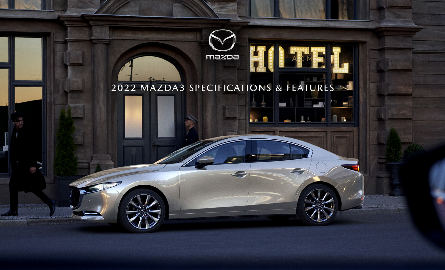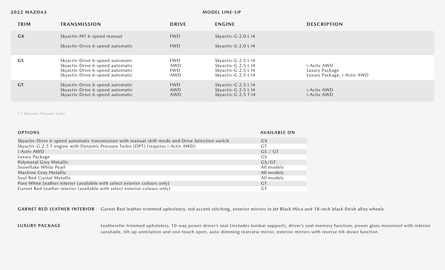### **MODEL LINE-UP**

| TRIM      | <b>TRANSMISSION</b>                                                                                                                          | <b>DRIVE</b>                           | <b>ENGINE</b>                                                                            | <b>DESCRIPTION</b>                                           |
|-----------|----------------------------------------------------------------------------------------------------------------------------------------------|----------------------------------------|------------------------------------------------------------------------------------------|--------------------------------------------------------------|
| GX        | Skyactiv-MT 6-speed manual                                                                                                                   | <b>FWD</b>                             | Skyactiv-G 2.0 L I4                                                                      |                                                              |
|           | Skyactiv-Drive 6-speed automatic                                                                                                             | <b>FWD</b>                             | Skyactiv-G 2.0 L I4                                                                      |                                                              |
| GS        | Skyactiv-Drive 6-speed automatic<br>Skyactiv-Drive 6-speed automatic<br>Skyactiv-Drive 6-speed automatic<br>Skyactiv-Drive 6-speed automatic | <b>FWD</b><br>AWD<br><b>FWD</b><br>AWD | Skyactiv-G 2.5 L I4<br>Skyactiv-G 2.5 L I4<br>Skyactiv-G 2.5 L I4<br>Skyactiv-G 2.5 L I4 | i-Activ AWD<br>Luxury Package<br>Luxury Package, i-Activ AWD |
| <b>GT</b> | Skyactiv-Drive 6-speed automatic<br>Skyactiv-Drive 6-speed automatic<br>Skyactiv-Drive 6-speed automatic                                     | <b>FWD</b><br><b>AWD</b><br>AWD        | Skyactiv-G 2.5 L I4<br>Skyactiv-G 2.5 L I4<br>Skyactiv-G 2.5 T I4                        | i-Activ AWD<br><i>i</i> -Activ AWD                           |

T = Dynamic Pressure Turbo

| <b>OPTIONS</b>                                                                                  | <b>AVAILABLE ON</b> |
|-------------------------------------------------------------------------------------------------|---------------------|
| Skyactiv-Drive 6-speed automatic transmission with manual-shift mode and Drive Selection switch | <b>GX</b>           |
| Skyactiv-G 2.5 T engine with Dynamic Pressure Turbo (DPT) (requires i-Activ AWD)                | GT                  |
| i-Activ AWD                                                                                     | GS / GT             |
| Luxury Package                                                                                  | GS.                 |
| Polymetal Grey Metallic                                                                         | GS/GT               |
| Snowflake White Pearl                                                                           | All models          |
| Machine Grey Metallic                                                                           | All models          |
| Soul Red Crystal Metallic                                                                       | All models          |
| Pure White Leather interior (available with select exterior colours only)                       | <b>GT</b>           |
| Garnet Red Leather interior (available with select exterior colours only)                       | <b>GT</b>           |

GARNET RED LEATHER INTERIOR Garnet Red leather-trimmed upholstery, red accent stitching, exterior mirrors in Jet Black Mica and 18-inch black finish alloy wheels

### **LUXURY PACKAGE**

Leatherette-trimmed upholstery, 10-way power driver's seat (includes lumbar support), driver's seat memory function, power glass moonroof with interior sunshade, tilt-up ventilation and one-touch open, auto-dimming rearview mirror, exterior mirrors with reverse tilt-down function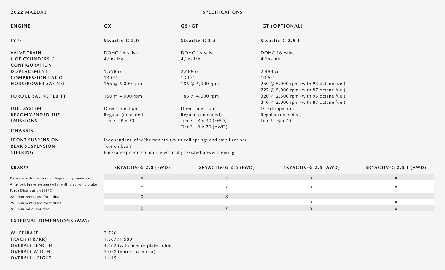# **2022 MAZDA3 SPECIFICATIONS**

| <b>ENGINE</b>                                                                   | <b>GX</b>                                                          | GS/GT                          | <b>GT (OPTIONAL)</b>                                                           |                        |
|---------------------------------------------------------------------------------|--------------------------------------------------------------------|--------------------------------|--------------------------------------------------------------------------------|------------------------|
| <b>TYPE</b>                                                                     | Skyactiv-G 2.0                                                     | Skyactiv-G 2.5                 | Skyactiv-G 2.5 T                                                               |                        |
| <b>VALVE TRAIN</b>                                                              | DOHC 16-valve                                                      | DOHC 16-valve<br>DOHC 16-valve |                                                                                |                        |
| # OF CYLINDERS /<br><b>CONFIGURATION</b>                                        | $4/in$ -line                                                       | $4/in$ -line                   | $4/in$ -line                                                                   |                        |
| DISPLACEMENT                                                                    | 1,998 cc                                                           | 2,488 cc                       | 2,488 сс                                                                       |                        |
| <b>COMPRESSION RATIO</b>                                                        | 13.0:1                                                             | 13.0:1                         | 10.5:1                                                                         |                        |
| <b>HORSEPOWER SAE NET</b>                                                       | 155 @ 6,000 rpm                                                    | 186 @ 6,000 rpm                | 250 @ 5,000 rpm (with 93 octane fuel)<br>227 @ 5,000 rpm (with 87 octane fuel) |                        |
| <b>TORQUE SAE NET LB-FT</b>                                                     | 150 @ 4,000 rpm                                                    | 186 @ 4,000 rpm                | 320 @ 2,500 rpm (with 93 octane fuel)<br>310 @ 2,000 rpm (with 87 octane fuel) |                        |
| <b>FUEL SYSTEM</b>                                                              | Direct injection                                                   | Direct injection               | Direct injection                                                               |                        |
| <b>RECOMMENDED FUEL</b>                                                         | Regular (unleaded)                                                 | Regular (unleaded)             | Regular (unleaded)                                                             |                        |
| <b>EMISSIONS</b>                                                                | Tier 3 - Bin 30                                                    | Tier 3 - Bin 30 (FWD)          | Tier 3 - Bin 70                                                                |                        |
| <b>CHASSIS</b>                                                                  |                                                                    | Tier 3 - Bin 70 (AWD)          |                                                                                |                        |
| <b>FRONT SUSPENSION</b>                                                         | Independent, MacPherson strut with coil springs and stabilizer bar |                                |                                                                                |                        |
| <b>REAR SUSPENSION</b>                                                          | Torsion beam                                                       |                                |                                                                                |                        |
| <b>STEERING</b>                                                                 | Rack-and-pinion column, electrically assisted power steering       |                                |                                                                                |                        |
| <b>BRAKES</b>                                                                   | SKYACTIV-G 2.0 (FWD)                                               | SKYACTIV-G 2.5 (FWD)           | SKYACTIV-G 2.5 (AWD)                                                           | SKYACTIV-G 2.5 T (AWD) |
| Power-assisted with dual diagonal hydraulic circuits                            | $\mathsf X$                                                        | X                              | $\mathsf X$                                                                    | $\mathsf{X}$           |
| Anti-lock Brake System (ABS) with Electronic Brake<br>Force Distribution (EBFD) | $\mathsf X$                                                        | $\mathsf X$                    | $\mathsf X$                                                                    | X                      |
| 280 mm ventilated front discs                                                   | $\mathsf{X}$                                                       | $\mathsf{X}$                   |                                                                                |                        |
| 295 mm ventilated front discs                                                   |                                                                    |                                | $\boldsymbol{X}$                                                               | $\mathsf{X}$           |
| 265 mm solid rear discs                                                         | $\mathsf X$                                                        | $\mathsf X$                    | $\boldsymbol{X}$                                                               | $\mathsf{X}$           |

# **EXTERNAL DIMENSIONS (MM)**

| WHEELBASE             | 2.726                             |
|-----------------------|-----------------------------------|
| $TRACK$ ( $FR/RR$ )   | 1,567/1,580                       |
| <b>OVERALL LENGTH</b> | 4,662 (with licence plate holder) |
| <b>OVERALL WIDTH</b>  | 2,028 (mirror to mirror)          |
| <b>OVERALL HEIGHT</b> | 1.445                             |
|                       |                                   |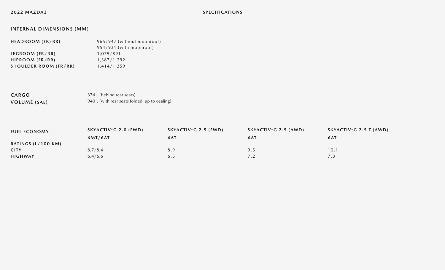# **INTERNAL DIMENSIONS (MM)**

| HEADROOM (FR/RR)             | 965/947 (without moonroof) |  |  |
|------------------------------|----------------------------|--|--|
|                              | 954/931 (with moonroof)    |  |  |
| LEGROOM (FR/RR)              | 1,075/891                  |  |  |
| HIPROOM (FR/RR)              | 1,387/1,292                |  |  |
| <b>SHOULDER ROOM (FR/RR)</b> | 1,414/1,359                |  |  |
|                              |                            |  |  |

**CARGO VOLUME (SAE)** 374 L (behind rear seats) 940 L (with rear seats folded, up to cealing)

| <b>FUEL ECONOMY</b>          | SKYACTIV-G 2.0 (FWD) | SKYACTIV-G 2.5 (FWD) | SKYACTIV-G 2.5 (AWD) | SKYACTIV-G 2.5 T (AWD) |
|------------------------------|----------------------|----------------------|----------------------|------------------------|
|                              | 6MT/6AT              | 6AT                  | 6AT                  | 6AT                    |
| RATINGS $(L/100 \text{ KM})$ |                      |                      |                      |                        |
| <b>CITY</b>                  | 8.7/8.4              | 8.9                  | 9.5                  | 10.1                   |
| <b>HIGHWAY</b>               | 6.4/6.6              | 6.5                  |                      |                        |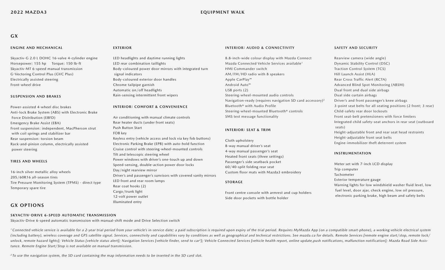# **GX**

#### **ENGINE AND MECHANICAL**

Skyactiv-G 2.0 L DOHC 16-valve 4-cylinder engine Horsepower: 155 hp Torque: 150 lb-ft Skyactiv-MT 6-speed manual transmission G-Vectoring Control Plus (GVC Plus) Electrically assisted steering Front-wheel drive

#### **SUSPENSION AND BRAKES**

Power-assisted 4-wheel disc brakes Anti-lock Brake System (ABS) with Electronic Brake Force Distribution (EBFD) Emergency Brake Assist (EBA) Front suspension: independent, MacPherson strut with coil springs and stabilizer bar Rear suspension: torsion beam Rack-and-pinion column, electrically assisted power steering

#### **TIRES AND WHEELS**

16-inch silver metallic alloy wheels 205/60R16 all-season tires Tire Pressure Monitoring System (TPMS) - direct type Temporary spare tire

# **GX OPTIONS**

### **SKYACTIV-DRIVE 6-SPEED AUTOMATIC TRANSMISSION**

Skyactiv-Drive 6-speed automatic transmission with manual-shift mode and Drive Selection switch

<sup>1</sup> Connected vehicle service is available for a 2-year trial period from your vehicle's in-service date; a paid subscription is required upon expiry of the trial period. Requires MyMazda App (on a compatible smart-phone), (including battery), wireless coverage and GPS satellite signal. Services, connectivity and capabilities vary by conditions as well as geographical and technical restrictions. See mazda.ca for details. Remote Services [rem unlock, remote hazard lights]; Vehicle Status [vehicle status alert]; Navigation Services [vehicle finder, send to car<sup>2</sup>]; Vehicle Connected Services [vehicle health report, online update, push notifications, malfunction *tance. Remote Engine Start/Stop is not available on manual transmission.*

*2 To use the navigation system, the SD card containing the map information needs to be inserted in the SD card slot.*

#### **EXTERIOR**

LED headlights and daytime running lights LED rear combination taillights Body-coloured power door mirrors with integrated turn signal indicators Body-coloured exterior door handles Chrome tailpipe garnish Automatic on/off headlights Rain-sensing intermittent front wipers

#### **INTERIOR: COMFORT & CONVENIENCE**

Air conditioning with manual climate controls Rear heater ducts (under front seats) Push Button Start FOB key

Keyless entry (vehicle access and lock via key fob buttons) Electronic Parking Brake (EPB) with auto-hold function Cruise control with steering-wheel-mounted controls Tilt and telescopic steering wheel Power windows with driver's one-touch up and down Speed-sensing, double-action power door locks Day/night rearview mirror Driver's and passenger's sunvisors with covered vanity mirrors LED front and rear room lamps Rear coat hooks (2) Cargo/trunk light 12-volt power outlet Illuminated entry

#### **INTERIOR: AUDIO & CONNECTIVITY**

8.8-inch-wide colour display with Mazda Connect Mazda Connected Vehicle Services available1 HMI Commander switch AM/FM/HD radio with 8 speakers Apple CarPlay™ Android Auto™ USB ports (2) Steering-wheel-mounted audio controls Navigation-ready (requires navigation SD card accessory)2 Bluetooth® with Audio Profile Steering-wheel-mounted Bluetooth® controls SMS text message functionality

#### **INTERIOR: SEAT & TRIM**

Cloth upholstery 8-way manual driver's seat 4-way manual passenger's seat Heated front seats (three settings) Passenger's side seatback pocket 60/40-split folding rear seat Custom floor mats with Mazda3 embroidery

#### **STORAGE**

Front centre console with armrest and cup holders Side door pockets with bottle holder

#### **SAFETY AND SECURITY**

Rearview camera (wide angle) Dynamic Stability Control (DSC) Traction Control System (TCS) Hill Launch Assist (HLA) Rear Cross Traffic Alert (RCTA) Advanced Blind Spot Monitoring (ABSM) Dual front and dual side airbags Dual side curtain airbags Driver's and front passenger's knee airbags 3-point seat belts for all seating positions (2 front; 3 rear) Child-safety rear door lockouts Front seat-belt pretensioners with force limiters Integrated child safety-seat anchors in rear seat (outboard seats) Height-adjustable front and rear seat head restraints Height-adjustable front seat belts Engine-immobilizer theft deterrent system

#### **INSTRUMENTATION**

Meter set with 7-inch LCD display Trip computer Tachometer Exterior temperature gauge Warning lights for low windshield washer fluid level, low fuel level, door ajar, check engine, low oil pressure, electronic parking brake, high beam and safety belts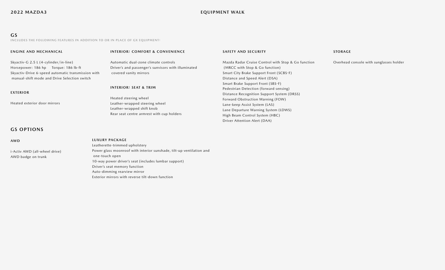### **2022 MAZDA3 EQUIPMENT WALK**

## **GS**

**INCLUDES THE FOLLOWING FEATURES IN ADDITION TO OR IN PLACE OF GX EQUIPMENT:**

#### **ENGINE AND MECHANICAL**

#### **INTERIOR: COMFORT & CONVENIENCE**

Skyactiv-G 2.5 L (4-cylinder/in-line) Horsepower: 186 hp Torque: 186 lb-ft Skyactiv-Drive 6-speed automatic transmission with manual-shift mode and Drive Selection switch

#### **EXTERIOR**

Heated exterior door mirrors

# **GS OPTIONS**

#### **AWD**

i-Activ AWD (all-wheel drive) AWD badge on trunk

### Automatic dual-zone climate controls Driver's and passenger's sunvisors with illuminated covered vanity mirrors

### **INTERIOR: SEAT & TRIM**

**LUXURY PACKAGE** 

one-touch open

Leatherette-trimmed upholstery

Driver's seat memory function Auto-dimming rearview mirror

Heated steering wheel Leather-wrapped steering wheel Leather-wrapped shift knob Rear seat centre armrest with cup holders

Power glass moonroof with interior sunshade, tilt-up ventilation and

10-way power driver's seat (includes lumbar support)

Exterior mirrors with reverse tilt-down function

#### **SAFETY AND SECURITY**

Mazda Radar Cruise Control with Stop & Go function (MRCC with Stop & Go function) Smart City Brake Support Front (SCBS-F) Distance and Speed Alert (DSA) Smart Brake Support Front (SBS-F) Pedestrian Detection (forward sensing) Distance Recognition Support System (DRSS) Forward Obstruction Warning (FOW) Lane-keep Assist System (LAS) Lane Departure Warning System (LDWS) High Beam Control System (HBC) Driver Attention Alert (DAA)

#### **STORAGE**

Overhead console with sunglasses holder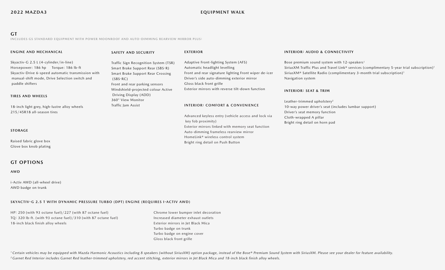# **GT**

**INCLUDES GS STANDARD EQUIPMENT WITH POWER MOONROOF AND AUTO-DIMMING REARVIEW MIRROR PLUS:**

| <b>ENGINE AND MECHANICAL</b>                                                                                                                                                                            | <b>SAFETY AND SECURITY</b>                                                                                                                                                                                                                                               | <b>EXTERIOR</b>                                                                                                                                                                                                                                                                                            | <b>INTERIOR: AUDIO &amp; CONNECTIVITY</b>                                                                                                                                                                                                                                                                       |  |
|---------------------------------------------------------------------------------------------------------------------------------------------------------------------------------------------------------|--------------------------------------------------------------------------------------------------------------------------------------------------------------------------------------------------------------------------------------------------------------------------|------------------------------------------------------------------------------------------------------------------------------------------------------------------------------------------------------------------------------------------------------------------------------------------------------------|-----------------------------------------------------------------------------------------------------------------------------------------------------------------------------------------------------------------------------------------------------------------------------------------------------------------|--|
| Skyactiv-G 2.5 L (4-cylinder/in-line)<br>Horsepower: 186 hp Torque: 186 lb-ft<br>Skyactiv-Drive 6-speed automatic transmission with<br>manual-shift mode, Drive Selection switch and<br>paddle shifters | Traffic Sign Recognition System (TSR)<br>Smart Brake Support Rear (SBS-R)<br>Smart Brake Support Rear Crossing<br>$(SBS-RC)$<br>Front and rear parking sensors<br>Windshield-projected colour Active<br>Driving Display (ADD)<br>360° View Monitor<br>Traffic Jam Assist | Adaptive Front-lighting System (AFS)<br>Automatic headlight levelling<br>Front and rear signature lighting Front wiper de-icer<br>Driver's side auto-dimming exterior mirror<br>Gloss black front grille<br>Exterior mirrors with reverse tilt-down function<br><b>INTERIOR: COMFORT &amp; CONVENIENCE</b> | Bose premium sound system with 12-speakers <sup>1</sup><br>SiriusXM Traffic Plus and Travel Link® services (complimentary 5-year trial subscription) <sup>1</sup><br>SiriusXM® Satellite Radio (complimentary 3-month trial subscription) <sup>1</sup><br>Navigation system<br><b>INTERIOR: SEAT &amp; TRIM</b> |  |
| <b>TIRES AND WHEELS</b>                                                                                                                                                                                 |                                                                                                                                                                                                                                                                          |                                                                                                                                                                                                                                                                                                            |                                                                                                                                                                                                                                                                                                                 |  |
| 18-inch light grey, high-lustre alloy wheels<br>215/45R18 all-season tires                                                                                                                              |                                                                                                                                                                                                                                                                          |                                                                                                                                                                                                                                                                                                            | Leather-trimmed upholstery <sup>2</sup><br>10-way power driver's seat (includes lumbar support)<br>Driver's seat memory function                                                                                                                                                                                |  |
| <b>STORAGE</b>                                                                                                                                                                                          |                                                                                                                                                                                                                                                                          | Advanced keyless entry (vehicle access and lock via<br>key fob proximity)<br>Exterior mirrors linked with memory seat function                                                                                                                                                                             | Cloth-wrapped A pillar<br>Bright ring detail on horn pad                                                                                                                                                                                                                                                        |  |
| Raised fabric glove box<br>Glove box knob plating                                                                                                                                                       |                                                                                                                                                                                                                                                                          | Auto-dimming frameless rearview mirror<br>HomeLink® wireless control system<br>Bright ring detail on Push Button                                                                                                                                                                                           |                                                                                                                                                                                                                                                                                                                 |  |

# **GT OPTIONS**

#### **AWD**

i-Activ AWD (all-wheel drive) AWD badge on trunk

#### **SKYACTIV-G 2.5 T WITH DYNAMIC PRESSURE TURBO (DPT) ENGINE (REQUIRES I-ACTIV AWD)**

HP: 250 (with 93 octane fuel)/227 (with 87 octane fuel) Chrome lower bumper inlet decoration TQ: 320 lb-ft. (with 93 octane fuel)/310 (with 87 octane fuel) Increased diameter exhaust outlets 18-inch black finish alloy wheels Exterior mirrors in Jet Black Mica

 Turbo badge on trunk Turbo badge on engine cover Gloss black front grille

<sup>1</sup> Certain vehicles may be equipped with Mazda Harmonic Acoustics including 8 speakers (without SiriusXM) option package, instead of the Bose® Premium Sound System with SiriusXM. Please see your dealer for feature availab *2 Garnet Red Interior includes Garnet Red leather-trimmed upholstery, red accent stitching, exterior mirrors in Jet Black Mica and 18-inch black finish alloy wheels.*